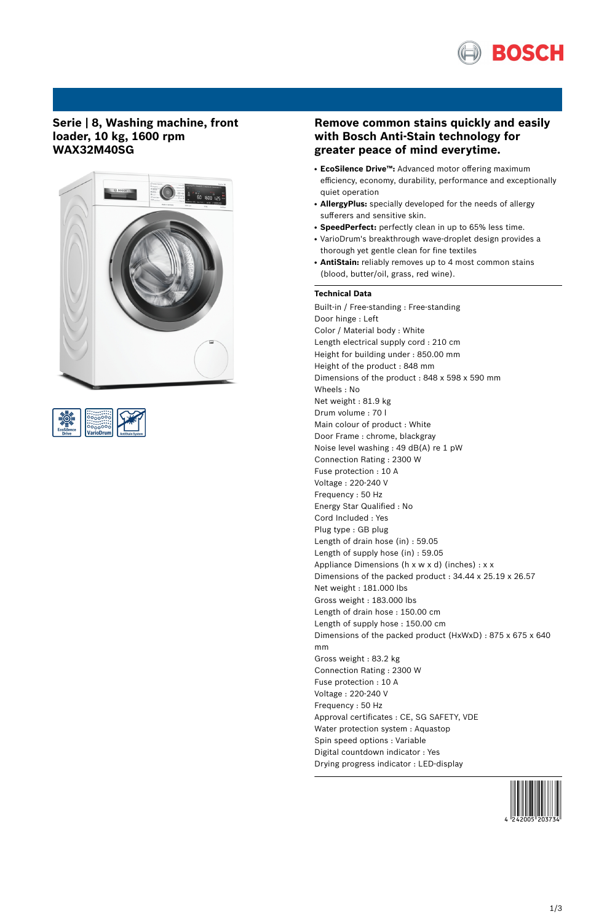

## **Serie | 8, Washing machine, front loader, 10 kg, 1600 rpm WAX32M40SG**





# **Remove common stains quickly and easily with Bosch Anti-Stain technology for greater peace of mind everytime.**

- **EcoSilence Drive™:** Advanced motor offering maximum efficiency, economy, durability, performance and exceptionally quiet operation
- **AllergyPlus:** specially developed for the needs of allergy sufferers and sensitive skin.
- **SpeedPerfect:** perfectly clean in up to 65% less time.
- VarioDrum's breakthrough wave-droplet design provides a thorough yet gentle clean for fine textiles
- AntiStain: reliably removes up to 4 most common stains (blood, butter/oil, grass, red wine).

### **Technical Data**

Built-in / Free-standing : Free-standing Door hinge : Left Color / Material body : White Length electrical supply cord : 210 cm Height for building under : 850.00 mm Height of the product : 848 mm Dimensions of the product : 848 x 598 x 590 mm Wheels : No Net weight : 81.9 kg Drum volume : 70 l Main colour of product : White Door Frame : chrome, blackgray Noise level washing : 49 dB(A) re 1 pW Connection Rating : 2300 W Fuse protection : 10 A Voltage : 220-240 V Frequency : 50 Hz Energy Star Qualified : No Cord Included : Yes Plug type : GB plug Length of drain hose (in) : 59.05 Length of supply hose (in) : 59.05 Appliance Dimensions (h x w x d) (inches) : x x Dimensions of the packed product : 34.44 x 25.19 x 26.57 Net weight : 181.000 lbs Gross weight : 183.000 lbs Length of drain hose : 150.00 cm Length of supply hose : 150.00 cm Dimensions of the packed product (HxWxD) : 875 x 675 x 640 mm Gross weight : 83.2 kg Connection Rating : 2300 W Fuse protection : 10 A Voltage : 220-240 V Frequency : 50 Hz Approval certificates : CE, SG SAFETY, VDE Water protection system : Aquastop Spin speed options : Variable Digital countdown indicator : Yes Drying progress indicator : LED-display

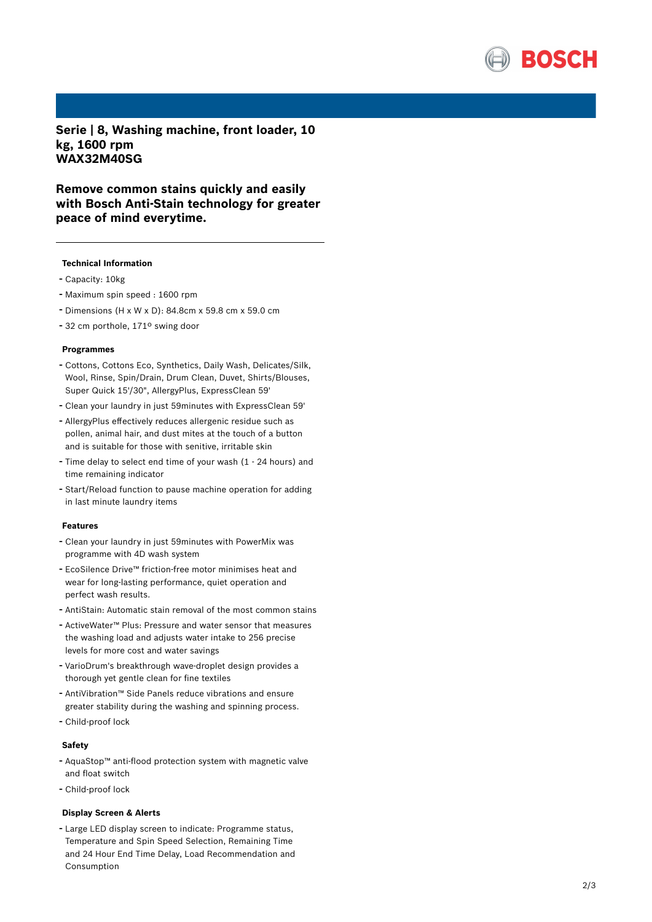

Serie | 8, Washing machine, front loader, 10 **k g , 1 6 0 0 r p m W AX 3 2 M 4 0 S G**

Remove common stains quickly and easily with Bosch Anti-Stain technology for greater peace of mind everytime.

#### **Technical Information**

- Capacity: 10kg
- Maximum spin speed : 1600 rpm
- Dimensions (H x W x D): 84.8cm x 59.8 cm x 59.0 cm
- <sup>32</sup> cm porthole, 171º swing door

#### **Programmes**

- Cottons, Cottons Eco, Synthetics, Daily Wash, Delicates/Silk, Wool, Rinse, Spin/Drain, Drum Clean, Duvet, Shirts/Blouses, Super Quick 15'/30", AllergyPlus, ExpressClean 59'
- Clean your laundry in just 59minutes with ExpressCle a n 5 9'
- AllergyPlus effectively reduces allergenic residue such as pollen, animal hair, and dust mites at the touch of a button and is suitable for those with senitive, irritable skin
- Time delay to select end time of your wash (1 <sup>24</sup> hours) an d time remaining indicator
- Start/Reload function to pause machine operation for adding in last minute laundry items

#### **F e a t u r e s**

- Clean your laundry in just 59minutes with PowerMix was programme with 4D wash system
- EcoSilence Drive™ friction-free motor minimises heat and wear for long-lasting performance, quiet operation and perfect wash results.
- AntiStain: Automatic stain removal of the most common stains
- ActiveWater™ Plus: Pressure and water sensor that measures the washing load and adjusts water intake to 256 precise levels for more cost and water savings
- VarioDrum's breakthrough wave-droplet design provides a thorough yet gentle clean for fine textiles
- AntiVibration™ Side Panels reduce vibrations and ensure greater stability during the washing and spinning process.
- Child-proof lock

#### **S a f e t y**

- AquaStop™ anti-flood protection system with magnetic valve and float switch
- Child-proof lock

### **Display Screen & Alerts**

- Large LED display screen to indicate: Programme status, Temperature and Spin Speed Selection, Remaining Time and 24 Hour End Time Delay, Load Recommendation and Consumption